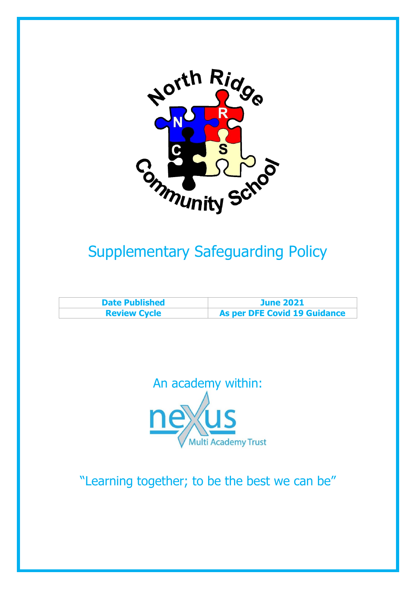

# Supplementary Safeguarding Policy

| <b>Date Published</b> | <b>June 2021</b>                    |
|-----------------------|-------------------------------------|
| <b>Review Cycle</b>   | <b>As per DFE Covid 19 Guidance</b> |



"Learning together; to be the best we can be"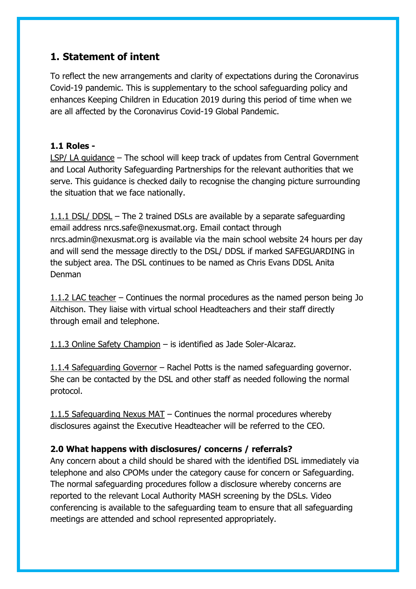# **1. Statement of intent**

To reflect the new arrangements and clarity of expectations during the Coronavirus Covid-19 pandemic. This is supplementary to the school safeguarding policy and enhances Keeping Children in Education 2019 during this period of time when we are all affected by the Coronavirus Covid-19 Global Pandemic.

#### **1.1 Roles -**

LSP/ LA guidance – The school will keep track of updates from Central Government and Local Authority Safeguarding Partnerships for the relevant authorities that we serve. This guidance is checked daily to recognise the changing picture surrounding the situation that we face nationally.

1.1.1 DSL/ DDSL – The 2 trained DSLs are available by a separate safeguarding email address nrcs.safe@nexusmat.org. Email contact through nrcs.admin@nexusmat.org is available via the main school website 24 hours per day and will send the message directly to the DSL/ DDSL if marked SAFEGUARDING in the subject area. The DSL continues to be named as Chris Evans DDSL Anita Denman

1.1.2 LAC teacher – Continues the normal procedures as the named person being Jo Aitchison. They liaise with virtual school Headteachers and their staff directly through email and telephone.

1.1.3 Online Safety Champion – is identified as Jade Soler-Alcaraz.

1.1.4 Safeguarding Governor – Rachel Potts is the named safeguarding governor. She can be contacted by the DSL and other staff as needed following the normal protocol.

1.1.5 Safeguarding Nexus MAT – Continues the normal procedures whereby disclosures against the Executive Headteacher will be referred to the CEO.

#### **2.0 What happens with disclosures/ concerns / referrals?**

Any concern about a child should be shared with the identified DSL immediately via telephone and also CPOMs under the category cause for concern or Safeguarding. The normal safeguarding procedures follow a disclosure whereby concerns are reported to the relevant Local Authority MASH screening by the DSLs. Video conferencing is available to the safeguarding team to ensure that all safeguarding meetings are attended and school represented appropriately.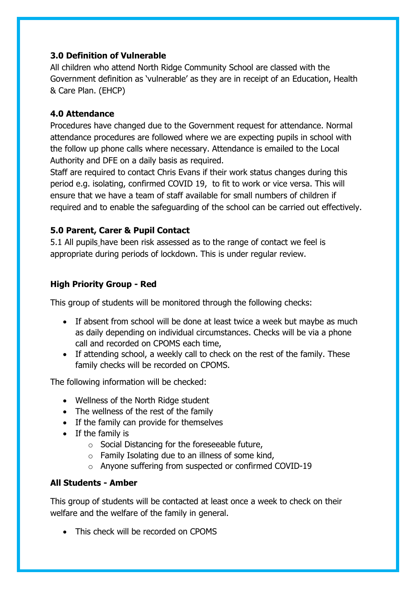#### **3.0 Definition of Vulnerable**

All children who attend North Ridge Community School are classed with the Government definition as 'vulnerable' as they are in receipt of an Education, Health & Care Plan. (EHCP)

#### **4.0 Attendance**

Procedures have changed due to the Government request for attendance. Normal attendance procedures are followed where we are expecting pupils in school with the follow up phone calls where necessary. Attendance is emailed to the Local Authority and DFE on a daily basis as required.

Staff are required to contact Chris Evans if their work status changes during this period e.g. isolating, confirmed COVID 19, to fit to work or vice versa. This will ensure that we have a team of staff available for small numbers of children if required and to enable the safeguarding of the school can be carried out effectively.

#### **5.0 Parent, Carer & Pupil Contact**

5.1 All pupils have been risk assessed as to the range of contact we feel is appropriate during periods of lockdown. This is under regular review.

## **High Priority Group - Red**

This group of students will be monitored through the following checks:

- If absent from school will be done at least twice a week but maybe as much as daily depending on individual circumstances. Checks will be via a phone call and recorded on CPOMS each time,
- If attending school, a weekly call to check on the rest of the family. These family checks will be recorded on CPOMS.

The following information will be checked:

- Wellness of the North Ridge student
- The wellness of the rest of the family
- If the family can provide for themselves
- If the family is
	- o Social Distancing for the foreseeable future,
	- $\circ$  Family Isolating due to an illness of some kind,
	- o Anyone suffering from suspected or confirmed COVID-19

### **All Students - Amber**

This group of students will be contacted at least once a week to check on their welfare and the welfare of the family in general.

• This check will be recorded on CPOMS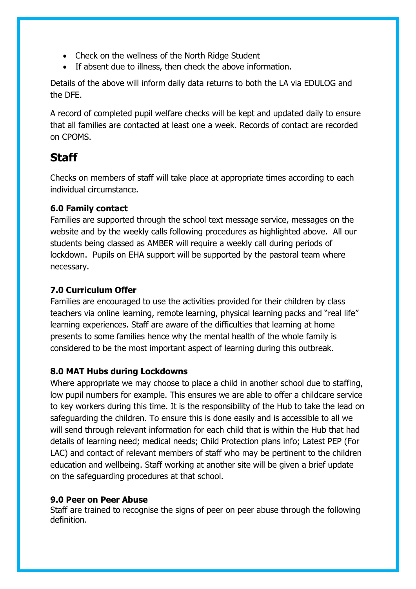- Check on the wellness of the North Ridge Student
- If absent due to illness, then check the above information.

Details of the above will inform daily data returns to both the LA via EDULOG and the DFE.

A record of completed pupil welfare checks will be kept and updated daily to ensure that all families are contacted at least one a week. Records of contact are recorded on CPOMS.

# **Staff**

Checks on members of staff will take place at appropriate times according to each individual circumstance.

#### **6.0 Family contact**

Families are supported through the school text message service, messages on the website and by the weekly calls following procedures as highlighted above. All our students being classed as AMBER will require a weekly call during periods of lockdown. Pupils on EHA support will be supported by the pastoral team where necessary.

### **7.0 Curriculum Offer**

Families are encouraged to use the activities provided for their children by class teachers via online learning, remote learning, physical learning packs and "real life" learning experiences. Staff are aware of the difficulties that learning at home presents to some families hence why the mental health of the whole family is considered to be the most important aspect of learning during this outbreak.

#### **8.0 MAT Hubs during Lockdowns**

Where appropriate we may choose to place a child in another school due to staffing, low pupil numbers for example. This ensures we are able to offer a childcare service to key workers during this time. It is the responsibility of the Hub to take the lead on safeguarding the children. To ensure this is done easily and is accessible to all we will send through relevant information for each child that is within the Hub that had details of learning need; medical needs; Child Protection plans info; Latest PEP (For LAC) and contact of relevant members of staff who may be pertinent to the children education and wellbeing. Staff working at another site will be given a brief update on the safeguarding procedures at that school.

#### **9.0 Peer on Peer Abuse**

Staff are trained to recognise the signs of peer on peer abuse through the following definition.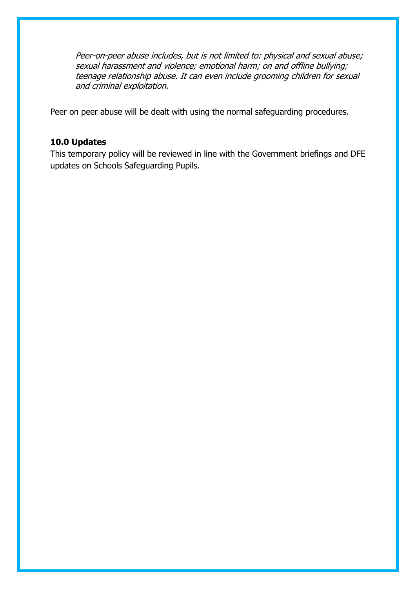Peer-on-peer abuse includes, but is not limited to: physical and sexual abuse; sexual harassment and violence; emotional harm; on and offline bullying; teenage relationship abuse. It can even include grooming children for sexual and criminal exploitation.

Peer on peer abuse will be dealt with using the normal safeguarding procedures.

#### **10.0 Updates**

This temporary policy will be reviewed in line with the Government briefings and DFE updates on Schools Safeguarding Pupils.